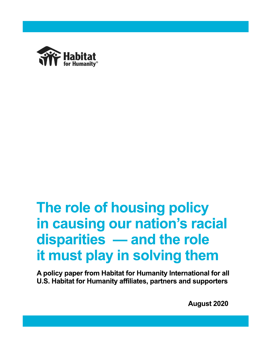

# The role of housing policy in causing our nation's racial disparities - and the role it must play in solving them

A policy paper from Habitat for Humanity International for all U.S. Habitat for Humanity affiliates, partners and supporters

**August 2020**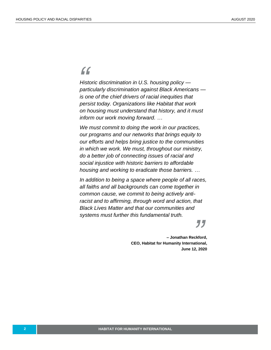# *"*

*Historic discrimination in U.S. housing policy particularly discrimination against Black Americans is one of the chief drivers of racial inequities that persist today. Organizations like Habitat that work on housing must understand that history, and it must inform our work moving forward. …*

*We must commit to doing the work in our practices, our programs and our networks that brings equity to our efforts and helps bring justice to the communities in which we work. We must, throughout our ministry, do a better job of connecting issues of racial and social injustice with historic barriers to affordable housing and working to eradicate those barriers. …*

*In addition to being a space where people of all races, all faiths and all backgrounds can come together in common cause, we commit to being actively antiracist and to affirming, through word and action, that Black Lives Matter and that our communities and systems must further this fundamental truth.*

**CEO, Habitat for Humanity International,**<br> **CEO, Habitat for Humanity International,**<br> **Prime 13, 2000 – Jonathan Reckford, June 12, 2020**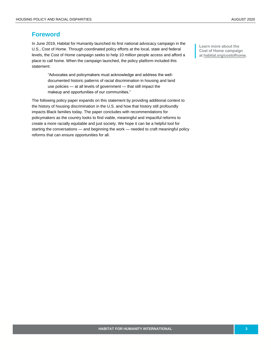## **Foreword**

In June 2019, Habitat for Humanity launched its first national advocacy campaign in the U.S., Cost of Home. Through coordinated policy efforts at the local, state and federal levels, the Cost of Home campaign seeks to help 10 million people access and afford a place to call home. When the campaign launched, the policy platform included this statement:

> "Advocates and policymakers must acknowledge and address the welldocumented historic patterns of racial discrimination in housing and land use policies — at all levels of government — that still impact the makeup and opportunities of our communities."

The following policy paper expands on this statement by providing additional context to the history of housing discrimination in the U.S. and how that history still profoundly impacts Black families today. The paper concludes with recommendations for policymakers as the country looks to find viable, meaningful and impactful reforms to create a more racially equitable and just society. We hope it can be a helpful tool for starting the conversations — and beginning the work — needed to craft meaningful policy reforms that can ensure opportunities for all.

**Learn more about the Cost of Home campaign at [habitat.org/costofhome.](https://www.habitat.org/costofhome)**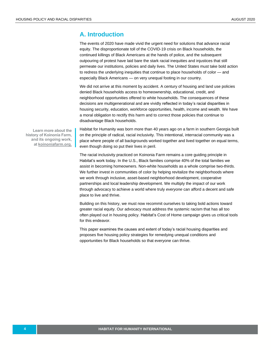### **A. Introduction**

The events of 2020 have made vivid the urgent need for solutions that advance racial equity. The disproportionate toll of the COVID-19 crisis on Black households, the continued killings of Black Americans at the hands of police, and the subsequent outpouring of protest have laid bare the stark racial inequities and injustices that still permeate our institutions, policies and daily lives. The United States must take bold action to redress the underlying inequities that continue to place households of color — and especially Black Americans — on very unequal footing in our country.

We did not arrive at this moment by accident. A century of housing and land use policies denied Black households access to homeownership, educational, credit, and neighborhood opportunities offered to white households. The consequences of these decisions are multigenerational and are vividly reflected in today's racial disparities in housing security, education, workforce opportunities, health, income and wealth. We have a moral obligation to rectify this harm and to correct those policies that continue to disadvantage Black households.

**Learn more about the history of Koinonia Farm, and its ongoing work, at [koinoniafarm.org.](https://www.koinoniafarm.org/)** Habitat for Humanity was born more than 40 years ago on a farm in southern Georgia built on the principle of radical, racial inclusivity. This intentional, interracial community was a place where people of all backgrounds worked together and lived together on equal terms, even though doing so put their lives in peril.

The racial inclusivity practiced on Koinonia Farm remains a core guiding principle in Habitat's work today. In the U.S., Black families comprise 40% of the total families we assist in becoming homeowners. Non-white households as a whole comprise two-thirds. We further invest in communities of color by helping revitalize the neighborhoods where we work through inclusive, asset-based neighborhood development, cooperative partnerships and local leadership development. We multiply the impact of our work through advocacy to achieve a world where truly *everyone* can afford a decent and safe place to live and thrive.

Building on this history, we must now recommit ourselves to taking bold actions toward greater racial equity. Our advocacy must address the systemic racism that has all too often played out in housing policy. Habitat's Cost of Home campaign gives us critical tools for this endeavor.

This paper examines the causes and extent of today's racial housing disparities and proposes five housing policy strategies for remedying unequal conditions and opportunities for Black households so that everyone can thrive.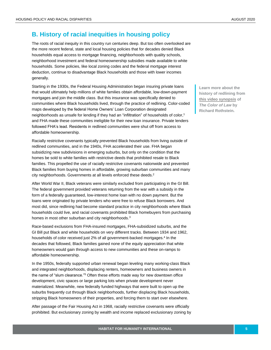# **B. History of racial inequities in housing policy**

The roots of racial inequity in this country run centuries deep. But too often overlooked are the more recent federal, state and local housing policies that for decades denied Black households equal access to mortgage financing, neighborhoods with quality schools, neighborhood investment and federal homeownership subsidies made available to white households. Some policies, like local zoning codes and the federal mortgage interest deduction, continue to disadvantage Black households and those with lower incomes generally.

Starting in the 1930s, the Federal Housing Administration began insuring private loans that would ultimately help millions of white families obtain affordable, low-down-payment mortgages and join the middle class. But this insurance was specifically denied to communities where Black households lived, through the practice of redlining. Color-coded maps developed by the federal Home Owners' Loan Corporation designated neighborhoods as unsafe for lending if they had an "infiltration" of households of color, 1 and FHA made these communities ineligible for their new loan insurance. Private lenders followed FHA's lead. Residents in redlined communities were shut off from access to affordable homeownership.

Racially restrictive covenants typically prevented Black households from living outside of redlined communities, and in the 1940s, FHA accelerated their use. FHA began subsidizing new subdivisions in emerging suburbs, but only on the condition that the homes be sold to white families with restrictive deeds that prohibited resale to Black families. This propelled the use of racially restrictive covenants nationwide and prevented Black families from buying homes in affordable, growing suburban communities and many city neighborhoods. Governments at all levels enforced these deeds.<sup>2</sup>

After World War II, Black veterans were similarly excluded from participating in the GI Bill. The federal government provided veterans returning from the war with a subsidy in the form of a federally guaranteed, low-interest home loan with no down payment. But the loans were originated by private lenders who were free to refuse Black borrowers. And most did, since redlining had become standard practice in city neighborhoods where Black households could live, and racial covenants prohibited Black homebuyers from purchasing homes in most other suburban and city neighborhoods.<sup>3</sup>

Race-based exclusions from FHA-insured mortgages, FHA-subsidized suburbs, and the GI Bill put Black and white households on very different tracks. Between 1934 and 1962, households of color received just 2% of all government-backed mortgages.<sup>4</sup> In the decades that followed, Black families gained none of the equity appreciation that white homeowners would gain through access to new communities and these on-ramps to affordable homeownership.

In the 1950s, federally supported urban renewal began leveling many working-class Black and integrated neighborhoods, displacing renters, homeowners and business owners in the name of "slum clearance."<sup>5</sup> Often these efforts made way for new downtown office development, civic spaces or large parking lots when private development never materialized. Meanwhile, new federally funded highways that were built to open up the suburbs frequently cut through Black neighborhoods, further displacing Black households, stripping Black homeowners of their properties, and forcing them to start over elsewhere.

After passage of the Fair Housing Act in 1968, racially restrictive covenants were officially prohibited. But exclusionary zoning by wealth and income replaced exclusionary zoning by **Learn more about the history of redlining from [this video synopsis](https://www.segregatedbydesign.com/) of**  *The Color of Law* **by Richard Rothstein.**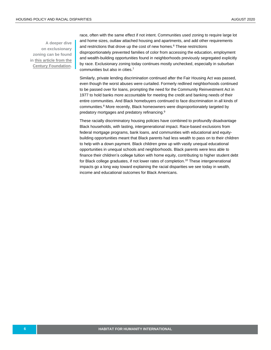race, often with the same effect if not intent. Communities used zoning to require large lot and home sizes, outlaw attached housing and apartments, and add other requirements and restrictions that drove up the cost of new homes. <sup>6</sup> These restrictions disproportionately prevented families of color from accessing the education, employment and wealth-building opportunities found in neighborhoods previously segregated explicitly by race. Exclusionary zoning today continues mostly unchecked, especially in suburban communities but also in cities.<sup>7</sup>

Similarly, private lending discrimination continued after the Fair Housing Act was passed, even though the worst abuses were curtailed. Formerly redlined neighborhoods continued to be passed over for loans, prompting the need for the Community Reinvestment Act in 1977 to hold banks more accountable for meeting the credit and banking needs of their entire communities. And Black homebuyers continued to face discrimination in all kinds of communities. <sup>8</sup> More recently, Black homeowners were disproportionately targeted by predatory mortgages and predatory refinancing.<sup>9</sup>

These racially discriminatory housing policies have combined to profoundly disadvantage Black households, with lasting, intergenerational impact. Race-based exclusions from federal mortgage programs, bank loans, and communities with educational and equitybuilding opportunities meant that Black parents had less wealth to pass on to their children to help with a down payment. Black children grew up with vastly unequal educational opportunities in unequal schools and neighborhoods. Black parents were less able to finance their children's college tuition with home equity, contributing to higher student debt for Black college graduates, if not lower rates of completion.<sup>10</sup> These intergenerational impacts go a long way toward explaining the racial disparities we see today in wealth, income and educational outcomes for Black Americans.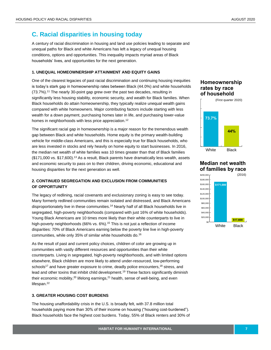# **C. Racial disparities in housing today**

A century of racial discrimination in housing and land use policies leading to separate and unequal paths for Black and white Americans has left a legacy of unequal housing conditions, options and opportunities. This inequality impacts myriad areas of Black households' lives, and opportunities for the next generation.

#### **1. UNEQUAL HOMEOWNERSHIP ATTAINMENT AND EQUITY GAINS**

One of the clearest legacies of past racial discrimination and continuing housing inequities is today's stark gap in homeownership rates between Black (44.0%) and white households (73.7%).<sup>11</sup> The nearly 30-point gap grew over the past two decades, resulting in significantly less housing stability, economic security, and wealth for Black families. When Black households do attain homeownership, they typically realize unequal wealth gains compared with white homeowners. Major contributing factors include starting with less wealth for a down payment, purchasing homes later in life, and purchasing lower-value homes in neighborhoods with less price appreciation.<sup>12</sup>

The significant racial gap in homeownership is a major reason for the tremendous wealth gap between Black and white households. Home equity is the primary wealth-building vehicle for middle-class Americans, and this is especially true for Black households, who are less invested in stocks and rely heavily on home equity to start businesses. In 2016, the median net wealth of white families was 10 times greater than that of Black families (\$171,000 vs. \$17,600). <sup>13</sup> As a result, Black parents have dramatically less wealth, assets and economic security to pass on to their children, driving economic, educational and housing disparities for the next generation as well.

#### **2. CONTINUED SEGREGATION AND EXCLUSION FROM COMMUNITIES OF OPPORTUNITY**

The legacy of redlining, racial covenants and exclusionary zoning is easy to see today. Many formerly redlined communities remain isolated and distressed, and Black Americans disproportionately live in these communities. <sup>14</sup> Nearly half of all Black households live in segregated, high-poverty neighborhoods (compared with just 16% of white households). Young Black Americans ar[e 10 times more likely](https://web.archive.org/web/20161023075533/http:/www.patricksharkey.net/stuck-in-place.html) than their white counterparts to live in high-poverty neighborhoods (66% vs. 6%).<sup>15</sup> This is not just a reflection of income disparities: 70% of Black Americans earning below the poverty line live in high-poverty communities, while only 35% of similar white households do.<sup>16</sup>

As the result of past and current policy choices, children of color are growing up in communities with vastly different resources and opportunities than their white counterparts. Living in segregated, high-poverty neighborhoods, and with limited options elsewhere, Black children are more likely to attend under-resourced, low-performing schools<sup>17</sup> and have greater exposure to crime, deadly police encounters,  $18$  stress, and lead and other toxins that inhibit child development.<sup>19</sup> These factors significantly diminish their economic mobility,<sup>20</sup> lifelong earnings,<sup>21</sup> health, sense of well-being, and even lifespan.<sup>22</sup>

#### **3. GREATER HOUSING COST BURDENS**

The housing unaffordability crisis in the U.S. is broadly felt, with 37.8 million total households paying more than 30% of their income on housing ("housing cost-burdened"). Black households face the highest cost burdens. Today, 55% of Black renters and 30% of

#### **Homeownership rates by race of household**



**Median net wealth of families by race**

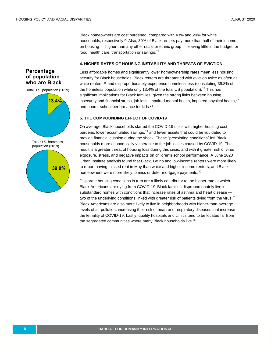Black homeowners are cost burdened, compared with 43% and 20% for white households, respectively.<sup>23</sup> Also, 30% of Black renters pay more than half of their income on housing — higher than any other racial or ethnic group — leaving little in the budget for food, health care, transportation or savings.<sup>24</sup>

#### **4. HIGHER RATES OF HOUSING INSTABILITY AND THREATS OF EVICTION**

#### **Percentage of population who are Black**

Total U.S. population (2019)



Less affordable homes and significantly lower homeownership rates mean less housing security for Black households. Black renters are threatened with eviction twice as often as white renters,<sup>25</sup> and disproportionately experience homelessness (constituting 39.8% of the homeless population while only 13.4% of the total US population). $26$  This has significant implications for Black families, given the strong links between housing insecurity and financial stress, job loss, impaired mental health, impaired physical health, $27$ and poorer school performance for kids.<sup>28</sup>

#### **5. THE COMPOUNDING EFFECT OF COVID-19**

On average, Black households started the COVID-19 crisis with higher housing cost burdens, lower accumulated savings, <sup>29</sup> and fewer assets that could be liquidated to provide financial cushion during the shock. These "preexisting conditions" left Black households more economically vulnerable to the job losses caused by COVID-19. The result is a greater threat of housing loss during this crisis, and with it greater risk of virus exposure, stress, and negative impacts on children's school performance. A June 2020 Urban Institute analysis found that Black, Latino and low-income renters were more likely to report having missed rent in May than white and higher-income renters, and Black homeowners were more likely to miss or defer mortgage payments.<sup>30</sup>

Disparate housing conditions in turn are a likely contributor to the higher rate at which Black Americans are dying from COVID-19. Black families disproportionately live in substandard homes with conditions that increase rates of asthma and heart disease two of the underlying conditions linked with greater risk of patients dying from the virus.<sup>31</sup> Black Americans are also more likely to live in neighborhoods with higher-than-average levels of air pollution, increasing their risk of heart and respiratory diseases that increase the lethality of COVID-19. Lastly, quality hospitals and clinics tend to be located far from the segregated communities where many Black households live.<sup>32</sup>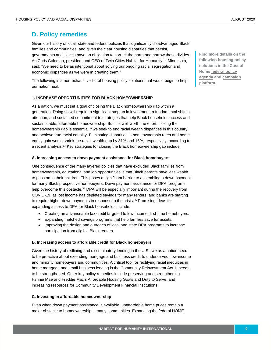# **D. Policy remedies**

Given our history of local, state and federal policies that significantly disadvantaged Black families and communities, and given the clear housing disparities that persist, governments at all levels have an obligation to correct the harm and narrow these divides. As Chris Coleman, president and CEO of Twin Cities Habitat for Humanity in Minnesota, said: "We need to be as intentional about solving our ongoing racial segregation and economic disparities as we were in creating them."

The following is a non-exhaustive list of housing policy solutions that would begin to help our nation heal.

#### **1. INCREASE OPPORTUNITIES FOR BLACK HOMEOWNERSHIP**

As a nation, we must set a goal of closing the Black homeownership gap within a generation. Doing so will require a significant step up in investment, a fundamental shift in attention, and sustained commitment to strategies that help Black households access and sustain stable, affordable homeownership. But it is well worth the effort: closing the homeownership gap is essential if we seek to end racial wealth disparities in this country and achieve true racial equality. Eliminating disparities in homeownership rates and home equity gain would shrink the racial wealth gap by 31% and 16%, respectively, according to a recent analysis.<sup>33</sup> Key strategies for closing the Black homeownership gap include:

#### **A. Increasing access to down payment assistance for Black homebuyers**

One consequence of the many layered policies that have excluded Black families from homeownership, educational and job opportunities is that Black parents have less wealth to pass on to their children. This poses a significant barrier to assembling a down payment for many Black prospective homebuyers. Down payment assistance, or DPA, programs help overcome this obstacle.<sup>34</sup> DPA will be especially important during the recovery from COVID-19, as lost income has depleted savings for many renters, and banks are starting to require higher down payments in response to the crisis.<sup>35</sup> Promising ideas for expanding access to DPA for Black households include:

- Creating an advanceable tax credit targeted to low-income, first-time homebuyers.
- Expanding matched savings programs that help families save for assets.
- Improving the design and outreach of local and state DPA programs to increase participation from eligible Black renters.

#### **B. Increasing access to affordable credit for Black homebuyers**

Given the history of redlining and discriminatory lending in the U.S., we as a nation need to be proactive about extending mortgage and business credit to underserved, low-income and minority homebuyers and communities. A critical tool for rectifying racial inequities in home mortgage and small-business lending is the Community Reinvestment Act. It needs to be strengthened. Other key policy remedies include preserving and strengthening Fannie Mae and Freddie Mac's Affordable Housing Goals and Duty to Serve, and increasing resources for Community Development Financial Institutions.

#### **C. Investing in affordable homeownership**

Even when down payment assistance is available, unaffordable home prices remain a major obstacle to homeownership in many communities. Expanding the federal HOME

**Find more details on the following housing policy solutions in the Cost of Hom[e federal policy](https://www.habitat.org/media/1162/view)  [agenda](https://www.habitat.org/media/1162/view) an[d campaign](https://www.habitat.org/media/843/view)  [platform.](https://www.habitat.org/media/843/view)**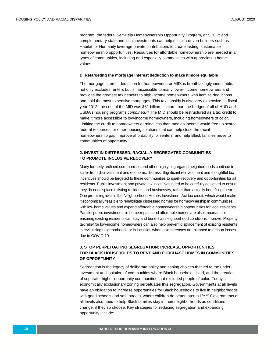program; the federal Self-Help Homeownership Opportunity Program, or SHOP; and complementary state and local investments can help mission-driven builders such as Habitat for Humanity leverage private contributions to create lasting, sustainable homeownership opportunities. Resources for affordable homeownership are needed in all types of communities, including and especially communities with appreciating home values.

#### **D. Retargeting the mortgage interest deduction to make it more equitable**

The mortgage interest deduction for homeowners, or MID, is breathtakingly inequitable. It not only excludes renters but is inaccessible to many lower-income homeowners and provides the greatest tax benefits to high-income homeowners who itemize deductions and hold the most expensive mortgages. This tax subsidy is also very expensive. In fiscal year 2012, the cost of the MID was \$81 billion — more than the budget of all of HUD and USDA's housing programs *combined*. <sup>36</sup> The MID should be restructured as a tax credit to make it more accessible to low-income homeowners, including homeowners of color. Limiting the credit to homeowners earning less than median income would free up scarce federal resources for other housing solutions that can help close the racial homeownership gap, improve affordability for renters, and help Black families move to communities of opportunity

#### **2. INVEST IN DISTRESSED, RACIALLY SEGREGATED COMMUNITIES TO PROMOTE INCLUSIVE RECOVERY**

Many formerly redlined communities and other highly segregated neighborhoods continue to suffer from disinvestment and economic distress. Significant reinvestment and thoughtful tax incentives should be targeted to these communities to spark recovery and opportunities for all residents. Public investment and private tax incentives need to be carefully designed to ensure they do not displace existing residents and businesses, rather than actually benefiting them. One promising idea is the Neighborhood Homes Investment Act tax credit, which would make it economically feasible to rehabilitate distressed homes for homeownership in communities with low home values and expand affordable homeownership opportunities for local residents. Parallel public investments in home repairs and affordable homes are also important for ensuring existing residents can stay and benefit as neighborhood conditions improve. Property tax relief for low-income homeowners can also help prevent displacement of existing residents in revitalizing neighborhoods or in localities where tax increases are planned to recoup losses due to COVID-19.

#### **3. STOP PERPETUATING SEGREGATION: INCREASE OPPORTUNITIES FOR BLACK HOUSEHOLDS TO RENT AND PURCHASE HOMES IN COMMUNITIES OF OPPORTUNITY**

Segregation is the legacy of deliberate policy and zoning choices that led to the underinvestment and isolation of communities where Black households lived, and the creation of separate, higher-opportunity communities that excluded people of color. Today's economically exclusionary zoning perpetuates this segregation. Governments at all levels have an obligation to increase opportunities for Black households to live in neighborhoods with good schools and safe streets, where children do better later in life.<sup>37</sup> Governments at all levels also need to help Black families stay in their neighborhoods as conditions change, if they so choose. Key strategies for reducing segregation and expanding opportunity include: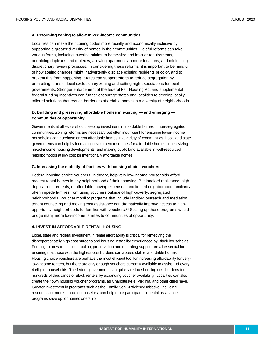#### **A. Reforming zoning to allow mixed-income communities**

Localities can make their zoning codes more racially and economically inclusive by supporting a greater diversity of homes in their communities. Helpful reforms can take various forms, including lowering minimum home-size and lot-size requirements, permitting duplexes and triplexes, allowing apartments in more locations, and minimizing discretionary review processes. In considering these reforms, it is important to be mindful of how zoning changes might inadvertently displace existing residents of color, and to prevent this from happening. States can support efforts to reduce segregation by prohibiting forms of local exclusionary zoning and setting high expectations for local governments. Stronger enforcement of the federal Fair Housing Act and supplemental federal funding incentives can further encourage states and localities to develop locally tailored solutions that reduce barriers to affordable homes in a diversity of neighborhoods.

#### **B. Building and preserving affordable homes in existing — and emerging communities of opportunity**

Governments at all levels should step up investment in affordable homes in non-segregated communities. Zoning reforms are necessary but often insufficient for ensuring lower-income households can purchase or rent affordable homes in a variety of communities. Local and state governments can help by increasing investment resources for affordable homes, incentivizing mixed-income housing developments, and making public land available in well-resourced neighborhoods at low cost for intentionally affordable homes.

#### **C. Increasing the mobility of families with housing choice vouchers**

Federal housing choice vouchers, in theory, help very low-income households afford modest rental homes in any neighborhood of their choosing. But landlord resistance, high deposit requirements, unaffordable moving expenses, and limited neighborhood familiarity often impede families from using vouchers outside of high-poverty, segregated neighborhoods. Voucher mobility programs that include landlord outreach and mediation, tenant counseling and moving cost assistance can dramatically improve access to highopportunity neighborhoods for families with vouchers.<sup>38</sup> Scaling up these programs would bridge many more low-income families to communities of opportunity.

#### **4. INVEST IN AFFORDABLE RENTAL HOUSING**

Local, state and federal investment in rental affordability is critical for remedying the disproportionately high cost burdens and housing instability experienced by Black households. Funding for new rental construction, preservation and operating support are all essential for ensuring that those with the highest cost burdens can access stable, affordable homes. Housing choice vouchers are perhaps the most efficient tool for increasing affordability for verylow-income renters, but there are only enough vouchers currently available to assist 1 of every 4 eligible households. The federal government can quickly reduce housing cost burdens for hundreds of thousands of Black renters by expanding voucher availability. Localities can also create their own housing voucher programs, as Charlottesville, Virginia, and other cities have. Greater investment in programs such as the Family Self-Sufficiency Initiative, including resources for more financial counselors, can help more participants in rental assistance programs save up for homeownership.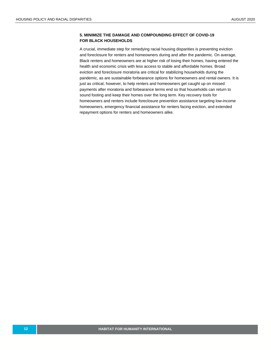#### **5. MINIMIZE THE DAMAGE AND COMPOUNDING EFFECT OF COVID-19 FOR BLACK HOUSEHOLDS**

A crucial, immediate step for remedying racial housing disparities is preventing eviction and foreclosure for renters and homeowners during and after the pandemic. On average, Black renters and homeowners are at higher risk of losing their homes, having entered the health and economic crisis with less access to stable and affordable homes. Broad eviction and foreclosure moratoria are critical for stabilizing households during the pandemic, as are sustainable forbearance options for homeowners and rental owners. It is just as critical, however, to help renters and homeowners get caught up on missed payments after moratoria and forbearance terms end so that households can return to sound footing and keep their homes over the long term. Key recovery tools for homeowners and renters include foreclosure prevention assistance targeting low-income homeowners, emergency financial assistance for renters facing eviction, and extended repayment options for renters and homeowners alike.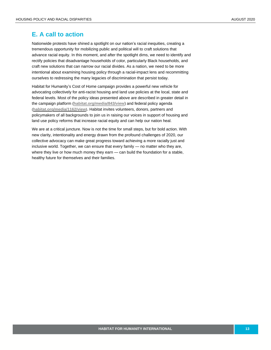## **E. A call to action**

Nationwide protests have shined a spotlight on our nation's racial inequities, creating a tremendous opportunity for mobilizing public and political will to craft solutions that advance racial equity. In this moment, and after the spotlight dims, we need to identify and rectify policies that disadvantage households of color, particularly Black households, and craft new solutions that can narrow our racial divides. As a nation, we need to be more intentional about examining housing policy through a racial-impact lens and recommitting ourselves to redressing the many legacies of discrimination that persist today.

Habitat for Humanity's Cost of Home campaign provides a powerful new vehicle for advocating collectively for anti-racist housing and land use policies at the local, state and federal levels. Most of the policy ideas presented above are described in greater detail in the campaign platform (**[habitat.org/media/843/view](https://www.habitat.org/media/843/view)**) and federal policy agenda (**[habitat.org/media/1162/view](https://www.habitat.org/media/1162/view)**). Habitat invites volunteers, donors, partners and policymakers of all backgrounds to join us in raising our voices in support of housing and land use policy reforms that increase racial equity and can help our nation heal.

We are at a critical juncture. Now is not the time for small steps, but for bold action. With new clarity, intentionality and energy drawn from the profound challenges of 2020, our collective advocacy can make great progress toward achieving a more racially just and inclusive world. Together, we can ensure that every family — no matter who they are, where they live or how much money they earn - can build the foundation for a stable, healthy future for themselves and their families.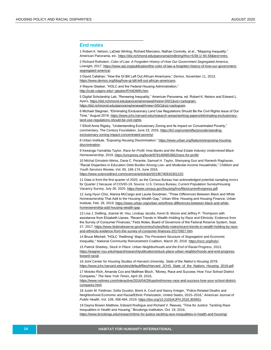#### **End notes**

1 Robert K. Nelson, LaDale Winling, Richard Marciano, Nathan Connolly, et al., "Mapping Inequality," American Panorama, ed.[, https://dsl.richmond.edu/panorama/redlining/#loc=5/39.1/-94.58&text=intro.](https://dsl.richmond.edu/panorama/redlining/#loc=5/39.1/-94.58&text=intro)

2 Richard Rothstein, *Color of Law: A Forgotten History of How Our Government Segregated America*, Liveright, 2017[, https://www.epi.org/publication/the-color-of-law-a-forgotten-history-of-how-our-government](https://www.epi.org/publication/the-color-of-law-a-forgotten-history-of-how-our-government-segregated-america/)[segregated-america/.](https://www.epi.org/publication/the-color-of-law-a-forgotten-history-of-how-our-government-segregated-america/)

3 David Callahan, "How the GI Bill Left Out African Americans," *Demos*, November 11, 2013, [https://www.demos.org/blog/how-gi-bill-left-out-african-americans.](https://www.demos.org/blog/how-gi-bill-left-out-african-americans)

4 Wayne Glasker, "HOLC and the Federal Housing Administration,"

[http://crab.rutgers.edu/~glasker/FHADMIN.htm.](http://crab.rutgers.edu/~glasker/FHADMIN.htm)

5 Digital Scholarship Lab, "Renewing Inequality," American Panorama, ed. Robert K. Nelson and Edward L. Ayers[, https://dsl.richmond.edu/panorama/renewal/#view=0/0/1&viz=cartogram.](https://dsl.richmond.edu/panorama/renewal/#view=0/0/1&viz=cartogram. https://dsl.richmond.edu/panorama/renewal/)  [https://dsl.richmond.edu/panorama/renewal/#view=0/0/1&viz=cartogram.](https://dsl.richmond.edu/panorama/renewal/#view=0/0/1&viz=cartogram. https://dsl.richmond.edu/panorama/renewal/)

6 Michael Stegman, "Eliminating Exclusionary Land Use Regulations Should Be the Civil Rights Issue of Our Time," August 2019[, https://www.jchs.harvard.edu/research-areas/working-papers/eliminating-exclusionary](https://www.jchs.harvard.edu/research-areas/working-papers/eliminating-exclusionary-land-use-regulations-should-be-civil-rights)[land-use-regulations-should-be-civil-rights.](https://www.jchs.harvard.edu/research-areas/working-papers/eliminating-exclusionary-land-use-regulations-should-be-civil-rights)

7 Elliott Anne Rigsby, "Understanding Exclusionary Zoning and Its Impact on Concentrated Poverty," commentary, The Century Foundation, June 23, 2016[, https://tcf.org/content/facts/understanding](https://tcf.org/content/facts/understanding-exclusionary-zoning-impact-concentrated-poverty/)[exclusionary-zoning-impact-concentrated-poverty/.](https://tcf.org/content/facts/understanding-exclusionary-zoning-impact-concentrated-poverty/)

8 Urban Institute, "Exposing Housing Discrimination,[" https://www.urban.org/features/exposing-housing](https://www.urban.org/features/exposing-housing-discrimination)[discrimination.](https://www.urban.org/features/exposing-housing-discrimination)

9 Keeanga-Yamahtta Taylor, *Race for Profit: How Banks and the Real Estate Industry Undermined Black Homeownership*, 2019[, https://uncpress.org/book/9781469653662/race-for-profit/.](https://uncpress.org/book/9781469653662/race-for-profit/)

10 Michal Grinstein-Weiss, Dana C. Perantie, Samuel H. Taylor, Shenyang Guo and Ramesh Raghavan, "Racial Disparities in Education Debt Burden Among Low- and Moderate-Income Households," *Children and Youth Services Review*, Vol. 65, 166-174, June 2016,

[https://www.sciencedirect.com/science/article/pii/S0190740916301220.](https://www.sciencedirect.com/science/article/pii/S0190740916301220)

11 Data is from the first quarter of 2020, as the Census Bureau has acknowledged potential sampling errors for Quarter 2 because of COVID-19. Source: U.S. Census Bureau, Current Population Survey/Housing Vacancy Survey, July 28, 2020[, https://www.census.gov/housing/hvs/files/currenthvspress.pdf.](https://www.census.gov/housing/hvs/files/currenthvspress.pdf)

12 Jung Hyun Choi, Alanna McCargo and Laurie Goodman, "Three Differences Between Black and White Homeownership That Add to the Housing Wealth Gap," Urban Wire: Housing and Housing Finance, Urban Institute, Feb. 28, 2019, [https://www.urban.org/urban-wire/three-differences-between-black-and-white](https://www.urban.org/urban-wire/three-differences-between-black-and-white-homeownership-add-housing-wealth-gap)[homeownership-add-housing-wealth-gap.](https://www.urban.org/urban-wire/three-differences-between-black-and-white-homeownership-add-housing-wealth-gap)

13 Lisa J. Dettling, Joanne W. Hsu, Lindsay Jacobs, Kevin B. Moore and Jeffrey P. Thompson with assistance from Elizabeth Llanes, "Recent Trends in Wealth-Holding by Race and Ethnicity: Evidence from the Survey of Consumer Finances," Feds Notes, Board of Governors of the Federal Reserve System, Sept. 27, 2017[, https://www.federalreserve.gov/econres/notes/feds-notes/recent-trends-in-wealth-holding-by-race](https://www.federalreserve.gov/econres/notes/feds-notes/recent-trends-in-wealth-holding-by-race-and-ethnicity-evidence-from-the-survey-of-consumer-finances-20170927.htm)[and-ethnicity-evidence-from-the-survey-of-consumer-finances-20170927.htm.](https://www.federalreserve.gov/econres/notes/feds-notes/recent-trends-in-wealth-holding-by-race-and-ethnicity-evidence-from-the-survey-of-consumer-finances-20170927.htm)

14 Bruce Mitchell, "HOLC 'Redlining' Maps: The Persistent Structure of Segregation and Economic Inequality," National Community Reinvestment Coalition, March 20, 2018[. https://ncrc.org/holc/.](https://ncrc.org/holc/) 

15 Patrick Sharkey, *Stuck in Place: Urban Neighborhoods and the End of Racial Progress*, 2013, [https://wagner.nyu.edu/impact/research/publications/stuck-place-urban-neighborhoods-and-end-progress](https://wagner.nyu.edu/impact/research/publications/stuck-place-urban-neighborhoods-and-end-progress-toward-racial)[toward-racial.](https://wagner.nyu.edu/impact/research/publications/stuck-place-urban-neighborhoods-and-end-progress-toward-racial)

16 Joint Center for Housing Studies of Harvard University, *State of the Nation's Housing 2019*, [https://www.jchs.harvard.edu/sites/default/files/Harvard\\_JCHS\\_State\\_of\\_the\\_Nations\\_Housing\\_2019.pdf.](https://www.jchs.harvard.edu/sites/default/files/Harvard_JCHS_State_of_the_Nations_Housing_2019.pdf)

17 Motoko Rich, Amanda Cox and Matthew Bloch, "Money, Race and Success: How Your School District Compares," *The New York Times*, April 29, 2016,

[https://www.nytimes.com/interactive/2016/04/29/upshot/money-race-and-success-how-your-school-district](https://www.nytimes.com/interactive/2016/04/29/upshot/money-race-and-success-how-your-school-district-compares.html)[compares.html.](https://www.nytimes.com/interactive/2016/04/29/upshot/money-race-and-success-how-your-school-district-compares.html)

18 Justin M. Feldman, Sofia Gruskin, Brent A. Coull and Nancy Krieger, "Police-Related Deaths and Neighborhood Economic and Racial/Ethnic Polarization, United States, 2015–2016," *American Journal of Public Health*, Vol. 109, 458-464, 2019[, https://doi.org/10.2105/AJPH.2018.304851.](https://doi.org/10.2105/AJPH.2018.304851)

19 Dayna Bowen Matthew, Edward Rodrigue and Richard V. Reeves, "Time for Justice: Tackling Race Inequalities in Health and Housing," Brookings Institution, Oct. 19, 2016, [https://www.brookings.edu/research/time-for-justice-tackling-race-inequalities-in-health-and-housing/.](https://www.brookings.edu/research/time-for-justice-tackling-race-inequalities-in-health-and-housing/)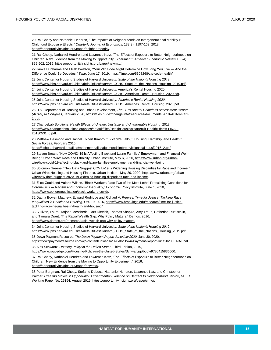20 Raj Chetty and Nathaniel Hendren, "The Impacts of Neighborhoods on Intergenerational Mobility I: Childhood Exposure Effects," *Quarterly Journal of Economics*, 133(3), 1107-162, 2018, [https://opportunityinsights.org/paper/neighborhoodsi/.](https://opportunityinsights.org/paper/neighborhoodsi/)

21 Raj Chetty, Nathaniel Hendren and Lawrence Katz, "The Effects of Exposure to Better Neighborhoods on Children: New Evidence from the Moving to Opportunity Experiment," *American Economic Review* 106(4), 855-902, 2016[, https://opportunityinsights.org/paper/newmto/.](https://opportunityinsights.org/paper/newmto/)

22 Jamie Ducharme and Elijah Wolfson, "Your ZIP Code Might Determine How Long You Live — And the Difference Could Be Decades," *Time*, June 17, 2019[, https://time.com/5608268/zip-code-health/.](https://time.com/5608268/zip-code-health/)

23 Joint Center for Housing Studies of Harvard University, *State of the Nation's Housing 2019*, [https://www.jchs.harvard.edu/sites/default/files/Harvard\\_JCHS\\_State\\_of\\_the\\_Nations\\_Housing\\_2019.pdf.](https://www.jchs.harvard.edu/sites/default/files/Harvard_JCHS_State_of_the_Nations_Housing_2019.pdf)

24 Joint Center for Housing Studies of Harvard University, America's Rental Housing 2020, [https://www.jchs.harvard.edu/sites/default/files/Harvard\\_JCHS\\_Americas\\_Rental\\_Housing\\_2020.pdf.](https://www.jchs.harvard.edu/sites/default/files/Harvard_JCHS_Americas_Rental_Housing_2020.pdf)

25 Joint Center for Housing Studies of Harvard University, *America's Rental Housing 2020*, [https://www.jchs.harvard.edu/sites/default/files/Harvard\\_JCHS\\_Americas\\_Rental\\_Housing\\_2020.pdf.](https://www.jchs.harvard.edu/sites/default/files/Harvard_JCHS_Americas_Rental_Housing_2020.pdf)

26 U.S. Department of Housing and Urban Development, *The 2019 Annual Homeless Assessment Report (AHAR) to Congress*, January 2020[, https://files.hudexchange.info/resources/documents/2019-AHAR-Part-](https://files.hudexchange.info/resources/documents/2019-AHAR-Part-1.pdf)[1.pdf.](https://files.hudexchange.info/resources/documents/2019-AHAR-Part-1.pdf)

27 ChangeLab Solutions, *Health Effects of Unsafe, Unstable and Unaffordable Housing*, 2018, [https://www.changelabsolutions.org/sites/default/files/HealthHousingStarterKit-HealthEffects-FINAL-](https://www.changelabsolutions.org/sites/default/files/HealthHousingStarterKit-HealthEffects-FINAL-20180531_0.pdf)[20180531\\_0.pdf.](https://www.changelabsolutions.org/sites/default/files/HealthHousingStarterKit-HealthEffects-FINAL-20180531_0.pdf)

28 Matthew Desmond and Rachel Tolbert Kimbro, "Eviction's Fallout: Housing, Hardship, and Health," *Social Forces*, February 2015,

[https://scholar.harvard.edu/files/mdesmond/files/desmondkimbro.evictions.fallout.sf2015\\_2.pdf.](https://scholar.harvard.edu/files/mdesmond/files/desmondkimbro.evictions.fallout.sf2015_2.pdf)

29 Steven Brown, "How COVID-19 Is Affecting Black and Latino Families' Employment and Financial WellBeing," Urban Wire: Race and Ethnicity, Urban Institute, May 6, 2020, [https://www.urban.org/urban](https://www.urban.org/urban-wire/how-covid-19-affecting-black-and-latino-families-employment-and-financial-well-being)[wire/how-covid-19-affecting-black-and-latino-families-employment-and-financial-well-being.](https://www.urban.org/urban-wire/how-covid-19-affecting-black-and-latino-families-employment-and-financial-well-being)

30 Solomon Greene, "New Data Suggest COVID-19 Is Widening Housing Disparities by Race and Income," Urban Wire: Housing and Housing Finance, Urban Institute, May 29, 2020[, https://www.urban.org/urban](https://www.urban.org/urban-wire/new-data-suggest-covid-19-widening-housing-disparities-race-and-income)[wire/new-data-suggest-covid-19-widening-housing-disparities-race-and-income.](https://www.urban.org/urban-wire/new-data-suggest-covid-19-widening-housing-disparities-race-and-income)

31 Elise Gould and Valerie Wilson, "Black Workers Face Two of the Most Lethal Preexisting Conditions for Coronavirus — Racism and Economic Inequality," Economic Policy Institute, June 1, 2020, [https://www.epi.org/publication/black-workers-covid/.](https://www.epi.org/publication/black-workers-covid/)

32 Dayna Bowen Matthew, Edward Rodrigue and Richard V. Reeves, *Time for Justice: Tackling Race Inequalities in Health and Housing*, Oct. 19, 2016[, https://www.brookings.edu/research/time-for-justice](https://www.brookings.edu/research/time-for-justice-tackling-race-inequalities-in-health-and-housing/)[tackling-race-inequalities-in-health-and-housing/.](https://www.brookings.edu/research/time-for-justice-tackling-race-inequalities-in-health-and-housing/)

33 Sullivan, Laura, Tatjana Meschede, Lars Dietrich, Thomas Shapiro, Amy Traub, Catherine Ruetschlin, and Tamara Draut, "The Racial Wealth Gap: Why Policy Matters," Demos, 2016, [https://www.demos.org/research/racial-wealth-gap-why-policy-matters.](https://www.demos.org/research/racial-wealth-gap-why-policy-matters)

34 Joint Center for Housing Studies of Harvard University, *State of the Nation's Housing 2019*, [https://www.jchs.harvard.edu/sites/default/files/Harvard\\_JCHS\\_State\\_of\\_the\\_Nations\\_Housing\\_2019.pdf.](https://www.jchs.harvard.edu/sites/default/files/Harvard_JCHS_State_of_the_Nations_Housing_2019.pdf)

35 Down Payment Resource, *The Down Payment Report June/July 2020*, June 30, 2020,

[https://downpaymentresource.com/wp-content/uploads/2020/06/Down-Payment-Report.June2020\\_FINAL.pdf.](https://downpaymentresource.com/wp-content/uploads/2020/06/Down-Payment-Report.June2020_FINAL.pdf) 36 Alex Schwartz, *Housing Policy in the United States*, Third Edition, 2015,

[https://www.routledge.com/Housing-Policy-in-the-United-States/Schwartz/p/book/9780415836500.](https://www.routledge.com/Housing-Policy-in-the-United-States/Schwartz/p/book/9780415836500)

37 Raj Chetty, Nathaniel Hendren and Lawrence Katz, "The Effects of Exposure to Better Neighborhoods on Children: New Evidence from the Moving to Opportunity Experiment," 2016, [https://opportunityinsights.org/paper/newmto/.](https://opportunityinsights.org/paper/newmto/)

38 Peter Bergman, Raj Chetty, Stefanie DeLuca, Nathaniel Hendren, Lawrence Katz and Christopher

Palmer, *Creating Moves to Opportunity: Experimental Evidence on Barriers to Neighborhood Choice*, NBER Working Paper No. 26164, August 2019[, https://opportunityinsights.org/paper/cmto/.](https://opportunityinsights.org/paper/cmto/)